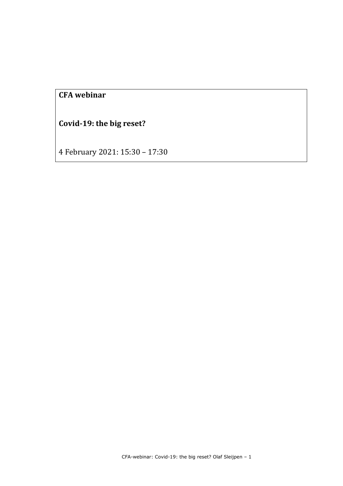# **CFA webinar**

**Covid-19: the big reset?**

4 February 2021: 15:30 – 17:30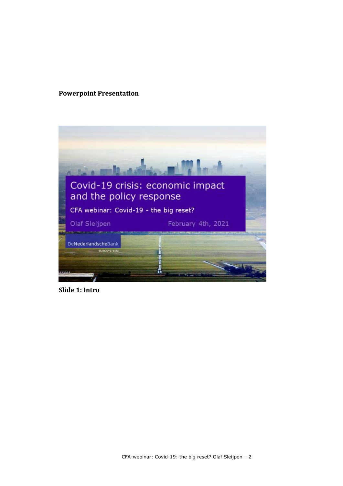## **Powerpoint Presentation**



**Slide 1: Intro**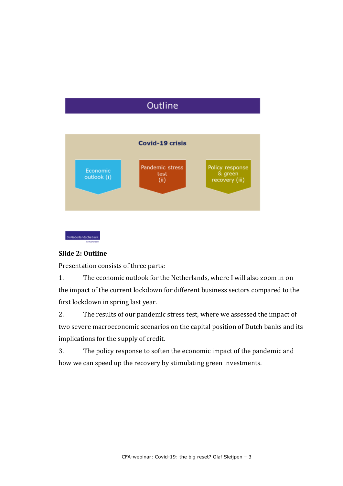# Outline





## **Slide 2: Outline**

Presentation consists of three parts:

1. The economic outlook for the Netherlands, where I will also zoom in on the impact of the current lockdown for different business sectors compared to the first lockdown in spring last year.

2. The results of our pandemic stress test, where we assessed the impact of two severe macroeconomic scenarios on the capital position of Dutch banks and its implications for the supply of credit.

3. The policy response to soften the economic impact of the pandemic and how we can speed up the recovery by stimulating green investments.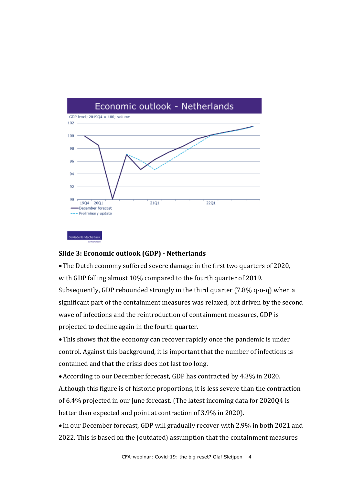

### **Slide 3: Economic outlook (GDP) - Netherlands**

The Dutch economy suffered severe damage in the first two quarters of 2020, with GDP falling almost 10% compared to the fourth quarter of 2019. Subsequently, GDP rebounded strongly in the third quarter (7.8% q-o-q) when a significant part of the containment measures was relaxed, but driven by the second wave of infections and the reintroduction of containment measures, GDP is projected to decline again in the fourth quarter.

This shows that the economy can recover rapidly once the pandemic is under control. Against this background, it is important that the number of infections is contained and that the crisis does not last too long.

According to our December forecast, GDP has contracted by 4.3% in 2020. Although this figure is of historic proportions, it is less severe than the contraction of 6.4% projected in our June forecast. (The latest incoming data for 2020Q4 is better than expected and point at contraction of 3.9% in 2020).

 In our December forecast, GDP will gradually recover with 2.9% in both 2021 and 2022. This is based on the (outdated) assumption that the containment measures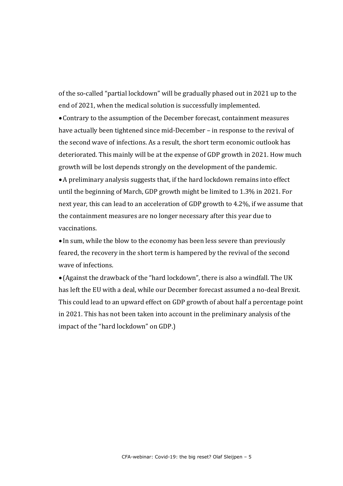of the so-called "partial lockdown" will be gradually phased out in 2021 up to the end of 2021, when the medical solution is successfully implemented.

Contrary to the assumption of the December forecast, containment measures have actually been tightened since mid-December – in response to the revival of the second wave of infections. As a result, the short term economic outlook has deteriorated. This mainly will be at the expense of GDP growth in 2021. How much growth will be lost depends strongly on the development of the pandemic.

A preliminary analysis suggests that, if the hard lockdown remains into effect until the beginning of March, GDP growth might be limited to 1.3% in 2021. For next year, this can lead to an acceleration of GDP growth to 4.2%, if we assume that the containment measures are no longer necessary after this year due to vaccinations.

 In sum, while the blow to the economy has been less severe than previously feared, the recovery in the short term is hampered by the revival of the second wave of infections.

 (Against the drawback of the "hard lockdown", there is also a windfall. The UK has left the EU with a deal, while our December forecast assumed a no-deal Brexit. This could lead to an upward effect on GDP growth of about half a percentage point in 2021. This has not been taken into account in the preliminary analysis of the impact of the "hard lockdown" on GDP.)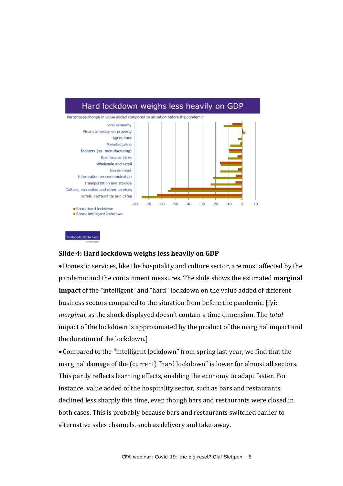

#### **Slide 4: Hard lockdown weighs less heavily on GDP**

.<br>De**Nederlandsche**Bank

Domestic services, like the hospitality and culture sector, are most affected by the pandemic and the containment measures. The slide shows the estimated **marginal impact** of the "intelligent" and "hard" lockdown on the value added of different business sectors compared to the situation from before the pandemic. [fyi: *marginal*, as the shock displayed doesn't contain a time dimension. The *total* impact of the lockdown is approximated by the product of the marginal impact and the duration of the lockdown.]

Compared to the "intelligent lockdown" from spring last year, we find that the marginal damage of the (current) "hard lockdown" is lower for almost all sectors. This partly reflects learning effects, enabling the economy to adapt faster. For instance, value added of the hospitality sector, such as bars and restaurants, declined less sharply this time, even though bars and restaurants were closed in both cases. This is probably because bars and restaurants switched earlier to alternative sales channels, such as delivery and take-away.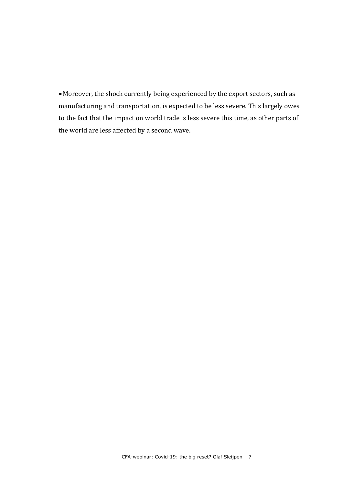Moreover, the shock currently being experienced by the export sectors, such as manufacturing and transportation, is expected to be less severe. This largely owes to the fact that the impact on world trade is less severe this time, as other parts of the world are less affected by a second wave.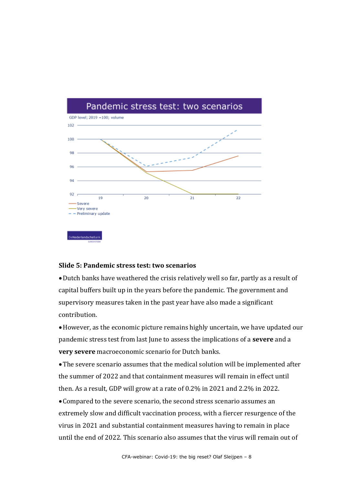

#### **Slide 5: Pandemic stress test: two scenarios**

Dutch banks have weathered the crisis relatively well so far, partly as a result of capital buffers built up in the years before the pandemic. The government and supervisory measures taken in the past year have also made a significant contribution.

However, as the economic picture remains highly uncertain, we have updated our pandemic stress test from last June to assess the implications of a **severe** and a **very severe** macroeconomic scenario for Dutch banks.

The severe scenario assumes that the medical solution will be implemented after the summer of 2022 and that containment measures will remain in effect until then. As a result, GDP will grow at a rate of 0.2% in 2021 and 2.2% in 2022.

Compared to the severe scenario, the second stress scenario assumes an extremely slow and difficult vaccination process, with a fiercer resurgence of the virus in 2021 and substantial containment measures having to remain in place until the end of 2022. This scenario also assumes that the virus will remain out of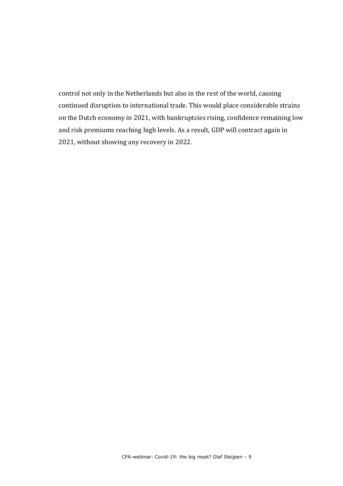control not only in the Netherlands but also in the rest of the world, causing continued disruption to international trade. This would place considerable strains on the Dutch economy in 2021, with bankruptcies rising, confidence remaining low and risk premiums reaching high levels. As a result, GDP will contract again in 2021, without showing any recovery in 2022.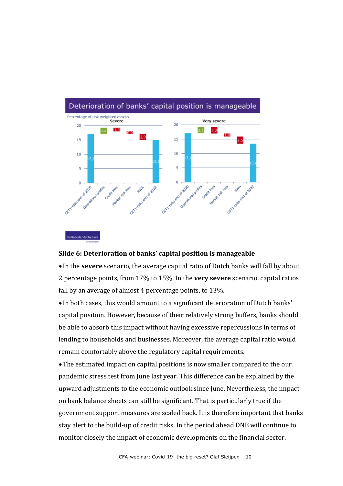

#### **Slide 6: Deterioration of banks' capital position is manageable**

 In the **severe** scenario, the average capital ratio of Dutch banks will fall by about 2 percentage points, from 17% to 15%. In the **very severe** scenario, capital ratios fall by an average of almost 4 percentage points, to 13%.

 In both cases, this would amount to a significant deterioration of Dutch banks' capital position. However, because of their relatively strong buffers, banks should be able to absorb this impact without having excessive repercussions in terms of lending to households and businesses. Moreover, the average capital ratio would remain comfortably above the regulatory capital requirements.

The estimated impact on capital positions is now smaller compared to the our pandemic stress test from June last year. This difference can be explained by the upward adjustments to the economic outlook since June. Nevertheless, the impact on bank balance sheets can still be significant. That is particularly true if the government support measures are scaled back. It is therefore important that banks stay alert to the build-up of credit risks. In the period ahead DNB will continue to monitor closely the impact of economic developments on the financial sector.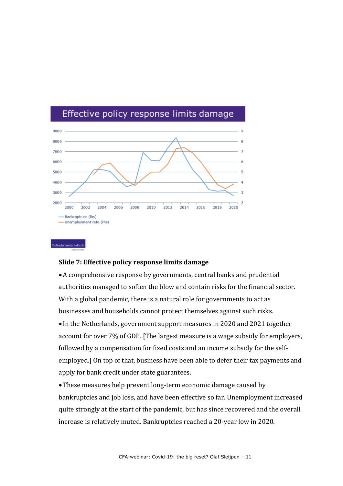

## Effective policy response limits damage

### **Slide 7: Effective policy response limits damage**

**eNederlandsche Bank** 

A comprehensive response by governments, central banks and prudential authorities managed to soften the blow and contain risks for the financial sector. With a global pandemic, there is a natural role for governments to act as businesses and households cannot protect themselves against such risks. In the Netherlands, government support measures in 2020 and 2021 together account for over 7% of GDP. [The largest measure is a wage subsidy for employers, followed by a compensation for fixed costs and an income subsidy for the selfemployed.] On top of that, business have been able to defer their tax payments and apply for bank credit under state guarantees.

These measures help prevent long-term economic damage caused by bankruptcies and job loss, and have been effective so far. Unemployment increased quite strongly at the start of the pandemic, but has since recovered and the overall increase is relatively muted. Bankruptcies reached a 20-year low in 2020.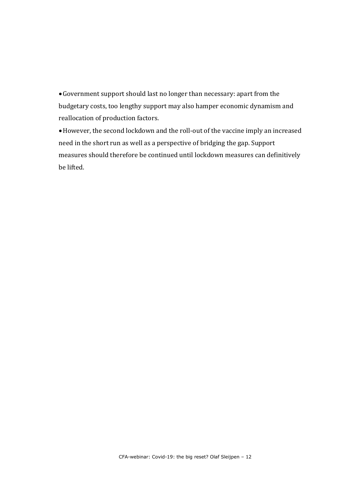Government support should last no longer than necessary: apart from the budgetary costs, too lengthy support may also hamper economic dynamism and reallocation of production factors.

However, the second lockdown and the roll-out of the vaccine imply an increased need in the short run as well as a perspective of bridging the gap. Support measures should therefore be continued until lockdown measures can definitively be lifted.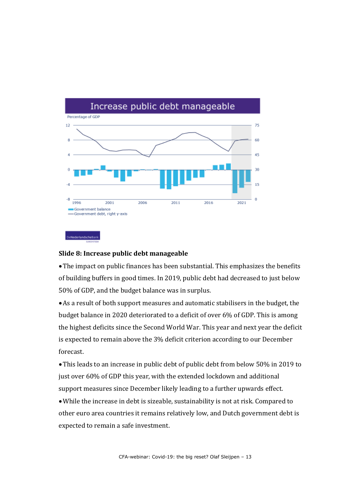

#### **Slide 8: Increase public debt manageable**

The impact on public finances has been substantial. This emphasizes the benefits of building buffers in good times. In 2019, public debt had decreased to just below 50% of GDP, and the budget balance was in surplus.

As a result of both support measures and automatic stabilisers in the budget, the budget balance in 2020 deteriorated to a deficit of over 6% of GDP. This is among the highest deficits since the Second World War. This year and next year the deficit is expected to remain above the 3% deficit criterion according to our December forecast.

This leads to an increase in public debt of public debt from below 50% in 2019 to just over 60% of GDP this year, with the extended lockdown and additional support measures since December likely leading to a further upwards effect.

While the increase in debt is sizeable, sustainability is not at risk. Compared to other euro area countries it remains relatively low, and Dutch government debt is expected to remain a safe investment.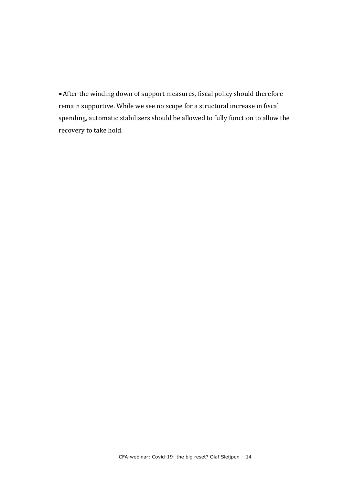After the winding down of support measures, fiscal policy should therefore remain supportive. While we see no scope for a structural increase in fiscal spending, automatic stabilisers should be allowed to fully function to allow the recovery to take hold.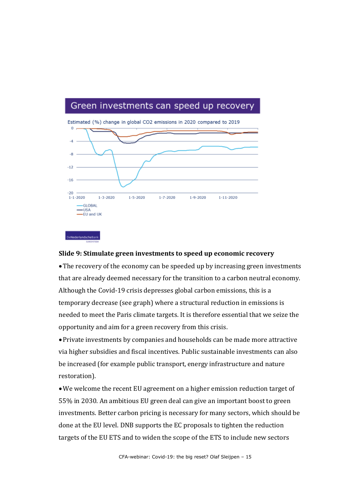## Green investments can speed up recovery



Estimated (%) change in global CO2 emissions in 2020 compared to 2019

#### **Slide 9: Stimulate green investments to speed up economic recovery**

The recovery of the economy can be speeded up by increasing green investments that are already deemed necessary for the transition to a carbon neutral economy. Although the Covid-19 crisis depresses global carbon emissions, this is a temporary decrease (see graph) where a structural reduction in emissions is needed to meet the Paris climate targets. It is therefore essential that we seize the opportunity and aim for a green recovery from this crisis.

Private investments by companies and households can be made more attractive via higher subsidies and fiscal incentives. Public sustainable investments can also be increased (for example public transport, energy infrastructure and nature restoration).

We welcome the recent EU agreement on a higher emission reduction target of 55% in 2030. An ambitious EU green deal can give an important boost to green investments. Better carbon pricing is necessary for many sectors, which should be done at the EU level. DNB supports the EC proposals to tighten the reduction targets of the EU ETS and to widen the scope of the ETS to include new sectors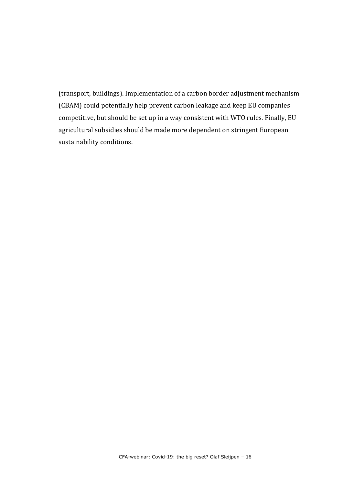(transport, buildings). Implementation of a carbon border adjustment mechanism (CBAM) could potentially help prevent carbon leakage and keep EU companies competitive, but should be set up in a way consistent with WTO rules. Finally, EU agricultural subsidies should be made more dependent on stringent European sustainability conditions.